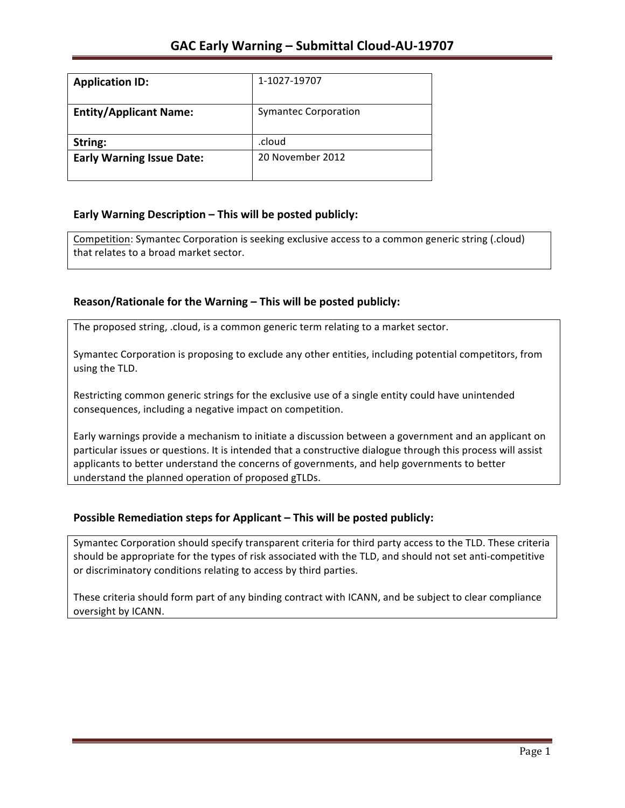| <b>Application ID:</b>           | 1-1027-19707                |
|----------------------------------|-----------------------------|
| <b>Entity/Applicant Name:</b>    | <b>Symantec Corporation</b> |
| String:                          | .cloud                      |
| <b>Early Warning Issue Date:</b> | 20 November 2012            |

## **Early Warning Description – This will be posted publicly:**

Competition: Symantec Corporation is seeking exclusive access to a common generic string (.cloud) that relates to a broad market sector.

## Reason/Rationale for the Warning – This will be posted publicly:

The proposed string, .cloud, is a common generic term relating to a market sector.

Symantec Corporation is proposing to exclude any other entities, including potential competitors, from using the TLD.

Restricting common generic strings for the exclusive use of a single entity could have unintended consequences, including a negative impact on competition.

Early warnings provide a mechanism to initiate a discussion between a government and an applicant on particular issues or questions. It is intended that a constructive dialogue through this process will assist applicants to better understand the concerns of governments, and help governments to better understand the planned operation of proposed gTLDs.

## **Possible Remediation steps for Applicant – This will be posted publicly:**

Symantec Corporation should specify transparent criteria for third party access to the TLD. These criteria should be appropriate for the types of risk associated with the TLD, and should not set anti-competitive or discriminatory conditions relating to access by third parties.

These criteria should form part of any binding contract with ICANN, and be subject to clear compliance oversight by ICANN.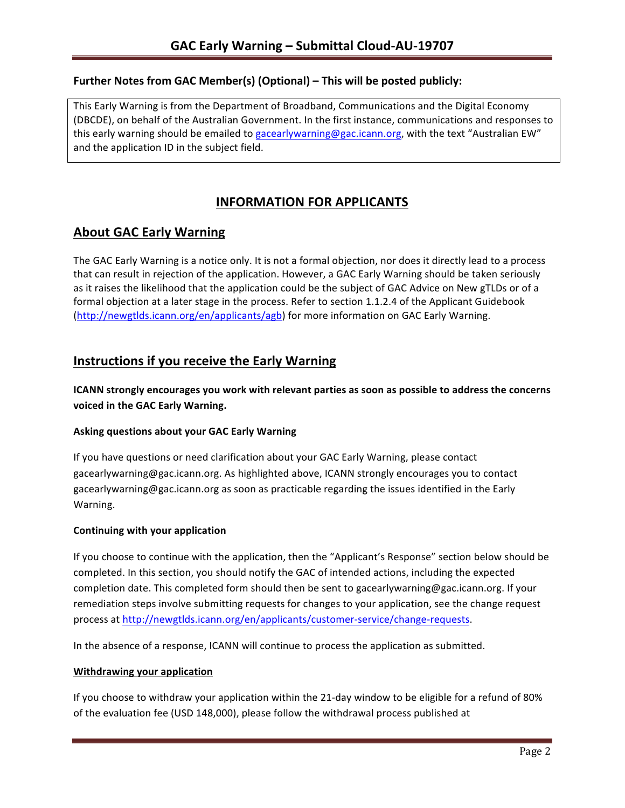## Further Notes from GAC Member(s) (Optional) - This will be posted publicly:

This Early Warning is from the Department of Broadband, Communications and the Digital Economy (DBCDE), on behalf of the Australian Government. In the first instance, communications and responses to this early warning should be emailed to gacearlywarning@gac.icann.org, with the text "Australian EW" and the application ID in the subject field.

# **INFORMATION FOR APPLICANTS**

# **About GAC Early Warning**

The GAC Early Warning is a notice only. It is not a formal objection, nor does it directly lead to a process that can result in rejection of the application. However, a GAC Early Warning should be taken seriously as it raises the likelihood that the application could be the subject of GAC Advice on New gTLDs or of a formal objection at a later stage in the process. Refer to section 1.1.2.4 of the Applicant Guidebook (http://newgtlds.icann.org/en/applicants/agb) for more information on GAC Early Warning.

## **Instructions if you receive the Early Warning**

**ICANN** strongly encourages you work with relevant parties as soon as possible to address the concerns **voiced in the GAC Early Warning.** 

### **Asking questions about your GAC Early Warning**

If you have questions or need clarification about your GAC Early Warning, please contact gacearlywarning@gac.icann.org. As highlighted above, ICANN strongly encourages you to contact gacearlywarning@gac.icann.org as soon as practicable regarding the issues identified in the Early Warning. 

### **Continuing with your application**

If you choose to continue with the application, then the "Applicant's Response" section below should be completed. In this section, you should notify the GAC of intended actions, including the expected completion date. This completed form should then be sent to gacearlywarning@gac.icann.org. If your remediation steps involve submitting requests for changes to your application, see the change request process at http://newgtlds.icann.org/en/applicants/customer-service/change-requests.

In the absence of a response, ICANN will continue to process the application as submitted.

### **Withdrawing your application**

If you choose to withdraw your application within the 21-day window to be eligible for a refund of 80% of the evaluation fee (USD 148,000), please follow the withdrawal process published at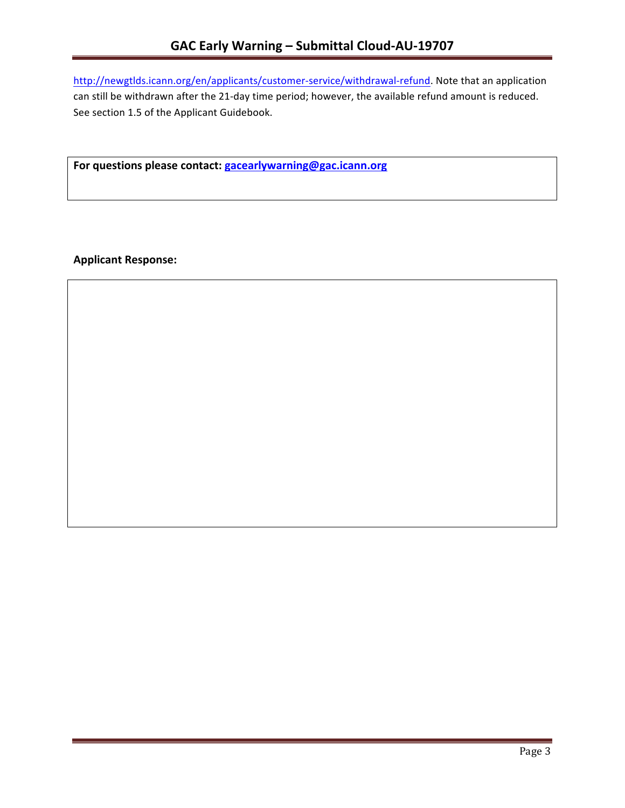http://newgtlds.icann.org/en/applicants/customer-service/withdrawal-refund. Note that an application can still be withdrawn after the 21-day time period; however, the available refund amount is reduced. See section 1.5 of the Applicant Guidebook.

For questions please contact: gacearlywarning@gac.icann.org

**Applicant Response:**